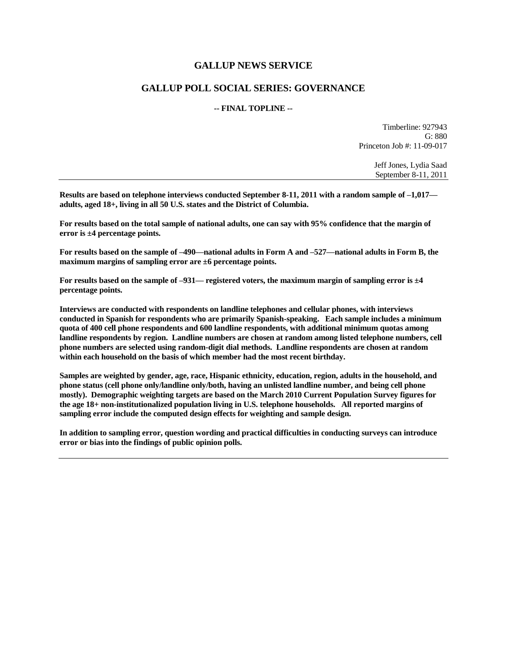## **GALLUP NEWS SERVICE**

## **GALLUP POLL SOCIAL SERIES: GOVERNANCE**

## **-- FINAL TOPLINE --**

Timberline: 927943 G: 880 Princeton Job #: 11-09-017

> Jeff Jones, Lydia Saad September 8-11, 2011

**Results are based on telephone interviews conducted September 8-11, 2011 with a random sample of –1,017 adults, aged 18+, living in all 50 U.S. states and the District of Columbia.** 

**For results based on the total sample of national adults, one can say with 95% confidence that the margin of error is ±4 percentage points.**

**For results based on the sample of –490—national adults in Form A and –527—national adults in Form B, the maximum margins of sampling error are ±6 percentage points.**

**For results based on the sample of –931— registered voters, the maximum margin of sampling error is ±4 percentage points.**

**Interviews are conducted with respondents on landline telephones and cellular phones, with interviews conducted in Spanish for respondents who are primarily Spanish-speaking. Each sample includes a minimum quota of 400 cell phone respondents and 600 landline respondents, with additional minimum quotas among landline respondents by region. Landline numbers are chosen at random among listed telephone numbers, cell phone numbers are selected using random-digit dial methods. Landline respondents are chosen at random within each household on the basis of which member had the most recent birthday.** 

**Samples are weighted by gender, age, race, Hispanic ethnicity, education, region, adults in the household, and phone status (cell phone only/landline only/both, having an unlisted landline number, and being cell phone mostly). Demographic weighting targets are based on the March 2010 Current Population Survey figures for the age 18+ non-institutionalized population living in U.S. telephone households. All reported margins of sampling error include the computed design effects for weighting and sample design.** 

**In addition to sampling error, question wording and practical difficulties in conducting surveys can introduce error or bias into the findings of public opinion polls.**